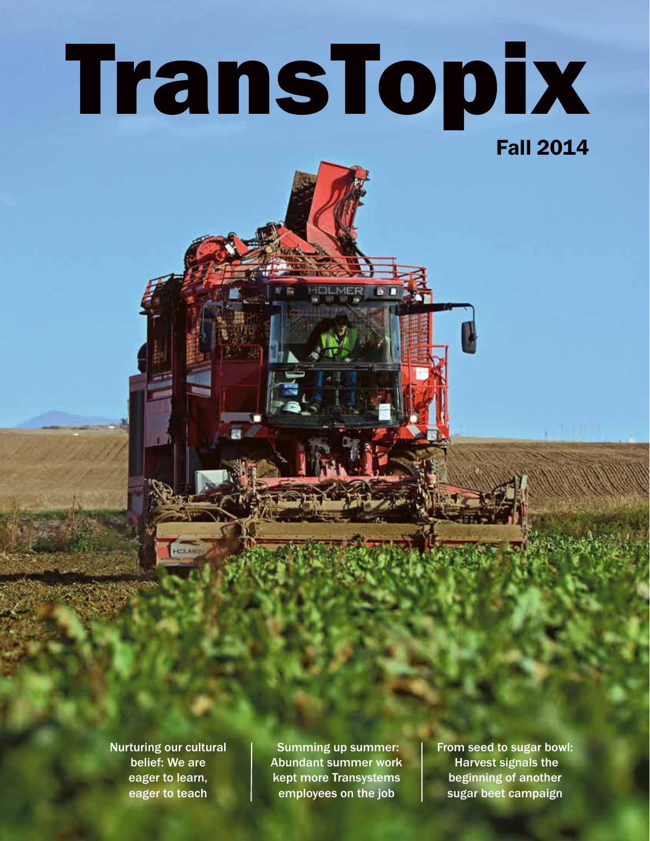# TransTopix

Fall 2014

Nurturing our cultural belief: We are eager to learn, eager to teach

**FICILER** 

Summing up summer: Abundant summer work kept more Transystems employees on the job

From seed to sugar bowl: Harvest signals the beginning of another sugar beet campaign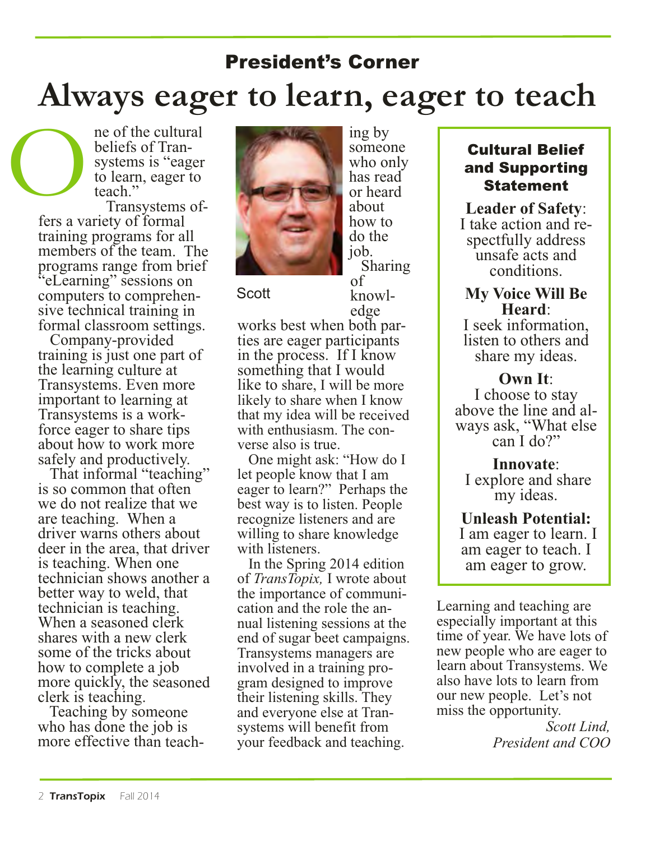# President's Corner **Always eager to learn, eager to teach**

ne of the cultural beliefs of Transystems is "eager to learn, eager to teach"

Transystems offers a variety of formal training programs for all members of the team. The programs range from brief "eLearning" sessions on computers to comprehensive technical training in formal classroom settings.

 $\bigcirc$ 

Company-provided training is just one part of the learning culture at Transystems. Even more important to learning at Transystems is a workforce eager to share tips about how to work more safely and productively.

That informal "teaching" is so common that often we do not realize that we are teaching. When a driver warns others about deer in the area, that driver is teaching. When one technician shows another a better way to weld, that technician is teaching. When a seasoned clerk shares with a new clerk some of the tricks about how to complete a job more quickly, the seasoned clerk is teaching.

Teaching by someone who has done the job is more effective than teach-



ing by someone who only has read or heard about how to do the job.

**Scott** 

Sharing of knowledge

works best when both parties are eager participants in the process. If I know something that I would like to share, I will be more likely to share when I know that my idea will be received with enthusiasm. The converse also is true.

One might ask: "How do I let people know that I am eager to learn?" Perhaps the best way is to listen. People recognize listeners and are willing to share knowledge with listeners.

In the Spring 2014 edition of *TransTopix,* I wrote about the importance of communication and the role the annual listening sessions at the end of sugar beet campaigns. Transystems managers are involved in a training program designed to improve their listening skills. They and everyone else at Transystems will benefit from your feedback and teaching.

#### Cultural Belief and Supporting Statement

**Leader of Safety**: I take action and respectfully address unsafe acts and conditions.

### **My Voice Will Be Heard**:

I seek information, listen to others and share my ideas.

#### **Own It**:

I choose to stay above the line and always ask, "What else can I do?"

**Innovate**: I explore and share my ideas.

**Unleash Potential:** I am eager to learn. I am eager to teach. I am eager to grow.

Learning and teaching are especially important at this time of year. We have lots of new people who are eager to learn about Transystems. We also have lots to learn from our new people. Let's not miss the opportunity.

> *Scott Lind, President and COO*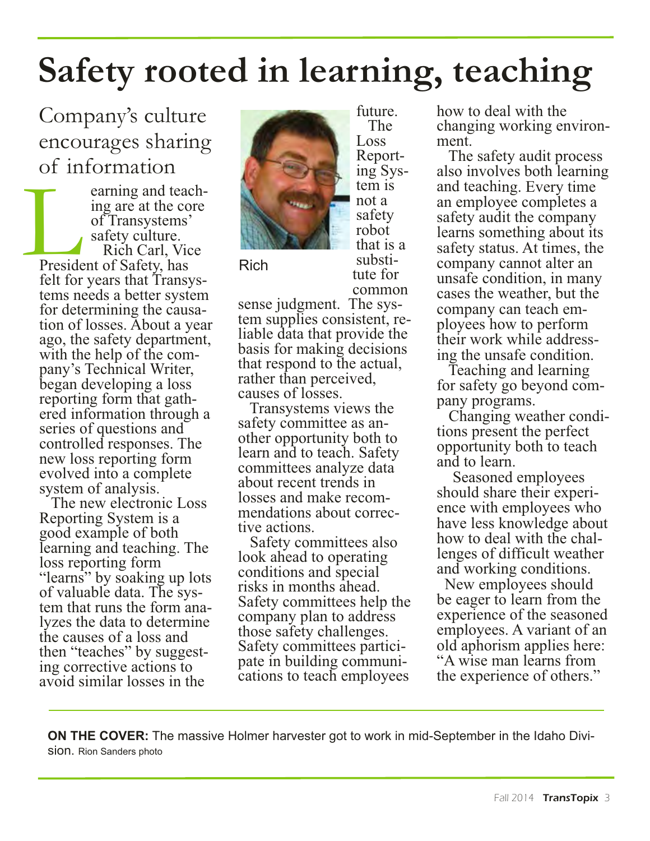# **Safety rooted in learning, teaching**

### Company's culture encourages sharing of information

earning and teaching are at the core of Transystems' safety culture. Rich Carl, Vice President of Safety, has felt for years that Transystems needs a better system for determining the causation of losses. About a year ago, the safety department, with the help of the company's Technical Writer, began developing a loss reporting form that gathered information through a series of questions and controlled responses. The new loss reporting form evolved into a complete system of analysis. L

The new electronic Loss Reporting System is a good example of both learning and teaching. The loss reporting form "learns" by soaking up lots of valuable data. The system that runs the form analyzes the data to determine the causes of a loss and then "teaches" by suggesting corrective actions to avoid similar losses in the



Rich

The Loss Reporting System is not a safety robot that is a substitute for common

future.

sense judgment. The system supplies consistent, reliable data that provide the basis for making decisions that respond to the actual, rather than perceived, causes of losses.

Transystems views the safety committee as another opportunity both to learn and to teach. Safety committees analyze data about recent trends in losses and make recommendations about corrective actions.

Safety committees also look ahead to operating conditions and special risks in months ahead. Safety committees help the company plan to address those safety challenges. Safety committees participate in building communications to teach employees

how to deal with the changing working environment.

The safety audit process also involves both learning and teaching. Every time an employee completes a safety audit the company learns something about its safety status. At times, the company cannot alter an unsafe condition, in many cases the weather, but the company can teach employees how to perform their work while addressing the unsafe condition.

Teaching and learning for safety go beyond company programs.

Changing weather conditions present the perfect opportunity both to teach and to learn.

Seasoned employees should share their experience with employees who have less knowledge about how to deal with the challenges of difficult weather and working conditions.

New employees should be eager to learn from the experience of the seasoned employees. A variant of an old aphorism applies here: "A wise man learns from the experience of others."

**ON THE COVER:** The massive Holmer harvester got to work in mid-September in the Idaho Division. Rion Sanders photo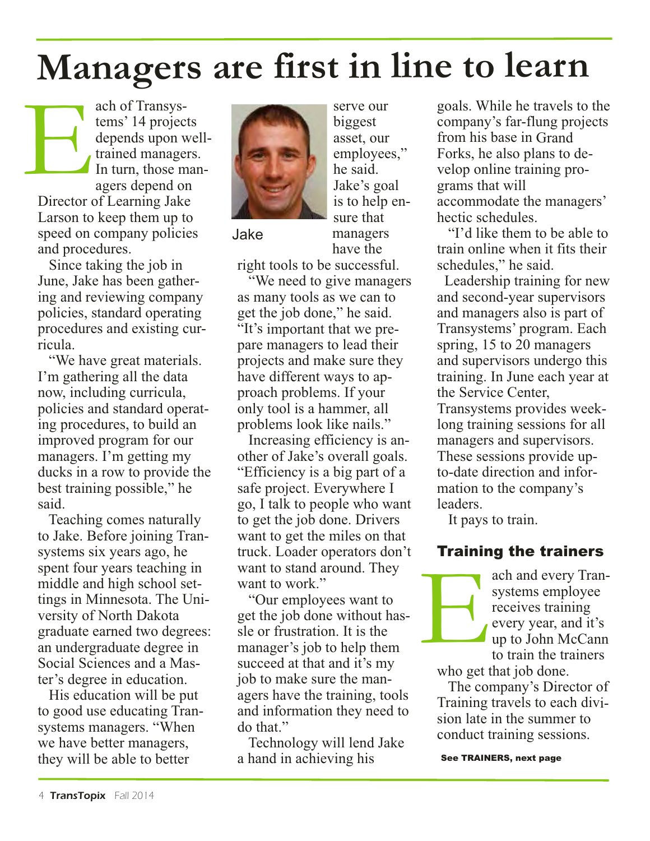# **Managers are first in line to learn**

ach of Transystems' 14 projects depends upon welltrained managers. In turn, those managers depend on Director of Learning Jake Larson to keep them up to speed on company policies and procedures. E

Since taking the job in June, Jake has been gathering and reviewing company policies, standard operating procedures and existing curricula.

"We have great materials. I'm gathering all the data now, including curricula, policies and standard operating procedures, to build an improved program for our managers. I'm getting my ducks in a row to provide the best training possible," he said.

Teaching comes naturally to Jake. Before joining Transystems six years ago, he spent four years teaching in middle and high school settings in Minnesota. The University of North Dakota graduate earned two degrees: an undergraduate degree in Social Sciences and a Master's degree in education.

His education will be put to good use educating Transystems managers. "When we have better managers, they will be able to better



Jake

serve our biggest asset, our employees," he said. Jake's goal is to help ensure that managers have the

right tools to be successful.

"We need to give managers as many tools as we can to get the job done," he said. "It's important that we prepare managers to lead their projects and make sure they have different ways to approach problems. If your only tool is a hammer, all problems look like nails."

Increasing efficiency is another of Jake's overall goals. "Efficiency is a big part of a safe project. Everywhere I go, I talk to people who want to get the job done. Drivers want to get the miles on that truck. Loader operators don't want to stand around. They want to work."

"Our employees want to get the job done without hassle or frustration. It is the manager's job to help them succeed at that and it's my job to make sure the managers have the training, tools and information they need to do that."

Technology will lend Jake a hand in achieving his

goals. While he travels to the company's far-flung projects from his base in Grand Forks, he also plans to develop online training programs that will accommodate the managers' hectic schedules.

"I'd like them to be able to train online when it fits their schedules," he said.

Leadership training for new and second-year supervisors and managers also is part of Transystems' program. Each spring, 15 to 20 managers and supervisors undergo this training. In June each year at the Service Center, Transystems provides weeklong training sessions for all managers and supervisors. These sessions provide upto-date direction and information to the company's leaders.

It pays to train.

#### Training the trainers

ach and every Transystems employee receives training every year, and it's up to John McCann to train the trainers

who get that job done. E

The company's Director of Training travels to each division late in the summer to conduct training sessions.

See TRAINERS, next page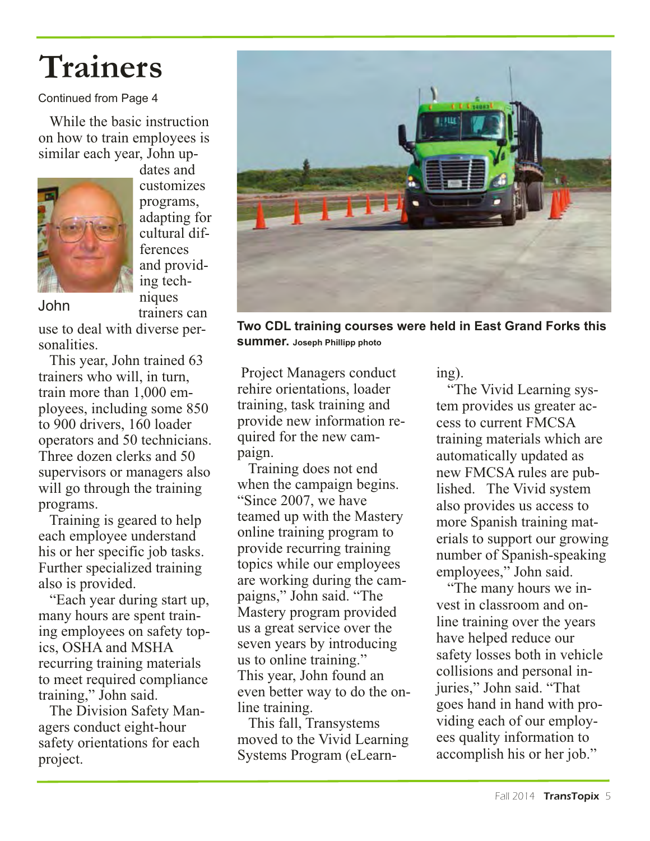# **Trainers**

#### Continued from Page 4

While the basic instruction on how to train employees is similar each year, John up-



dates and customizes programs, adapting for cultural differences and providing techniques trainers can

John

use to deal with diverse personalities.

This year, John trained 63 trainers who will, in turn, train more than 1,000 employees, including some 850 to 900 drivers, 160 loader operators and 50 technicians. Three dozen clerks and 50 supervisors or managers also will go through the training programs.

Training is geared to help each employee understand his or her specific job tasks. Further specialized training also is provided.

"Each year during start up, many hours are spent training employees on safety topics, OSHA and MSHA recurring training materials to meet required compliance training," John said.

The Division Safety Managers conduct eight-hour safety orientations for each project.



**Two CDL training courses were held in East Grand Forks this summer. Joseph Phillipp photo**

Project Managers conduct rehire orientations, loader training, task training and provide new information required for the new campaign.

Training does not end when the campaign begins. "Since 2007, we have teamed up with the Mastery online training program to provide recurring training topics while our employees are working during the campaigns," John said. "The Mastery program provided us a great service over the seven years by introducing us to online training." This year, John found an even better way to do the online training.

This fall, Transystems moved to the Vivid Learning Systems Program (eLearning).

"The Vivid Learning system provides us greater access to current FMCSA training materials which are automatically updated as new FMCSA rules are published. The Vivid system also provides us access to more Spanish training materials to support our growing number of Spanish-speaking employees," John said.

"The many hours we invest in classroom and online training over the years have helped reduce our safety losses both in vehicle collisions and personal injuries," John said. "That goes hand in hand with providing each of our employees quality information to accomplish his or her job."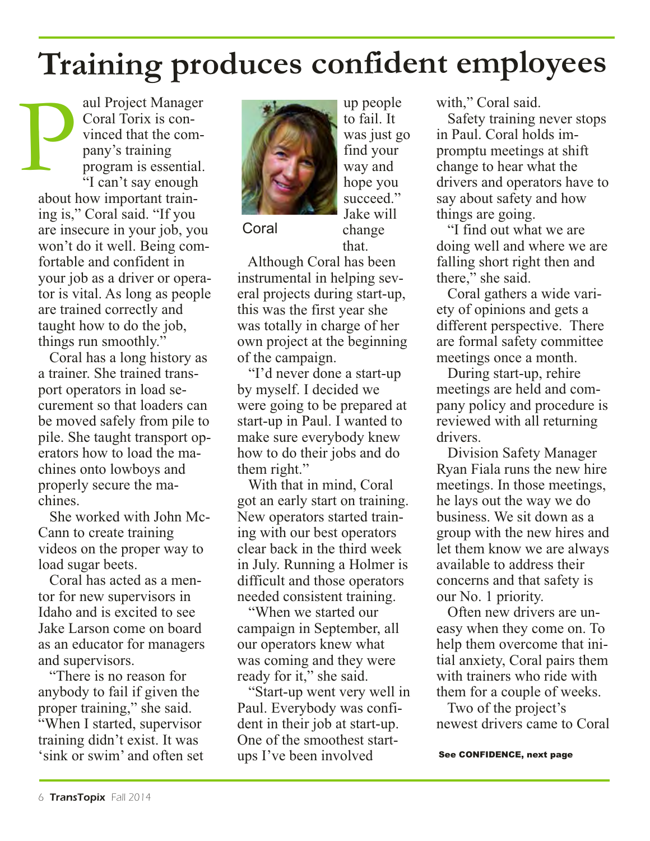# **Training produces confident employees**

aul Project Manager Coral Torix is convinced that the company's training program is essential. "I can't say enough about how important training is," Coral said. "If you are insecure in your job, you won't do it well. Being comfortable and confident in your job as a driver or operator is vital. As long as people are trained correctly and taught how to do the job, things run smoothly." P

Coral has a long history as a trainer. She trained transport operators in load securement so that loaders can be moved safely from pile to pile. She taught transport operators how to load the machines onto lowboys and properly secure the machines.

She worked with John Mc-Cann to create training videos on the proper way to load sugar beets.

Coral has acted as a mentor for new supervisors in Idaho and is excited to see Jake Larson come on board as an educator for managers and supervisors.

"There is no reason for anybody to fail if given the proper training," she said. "When I started, supervisor training didn't exist. It was 'sink or swim' and often set



**Coral** 

up people to fail. It was just go find your way and hope you succeed." Jake will change that.

Although Coral has been instrumental in helping several projects during start-up, this was the first year she was totally in charge of her own project at the beginning of the campaign.

"I'd never done a start-up by myself. I decided we were going to be prepared at start-up in Paul. I wanted to make sure everybody knew how to do their jobs and do them right."

With that in mind, Coral got an early start on training. New operators started training with our best operators clear back in the third week in July. Running a Holmer is difficult and those operators needed consistent training.

"When we started our campaign in September, all our operators knew what was coming and they were ready for it," she said.

"Start-up went very well in Paul. Everybody was confident in their job at start-up. One of the smoothest startups I've been involved

with," Coral said.

Safety training never stops in Paul. Coral holds impromptu meetings at shift change to hear what the drivers and operators have to say about safety and how things are going.

"I find out what we are doing well and where we are falling short right then and there," she said.

Coral gathers a wide variety of opinions and gets a different perspective. There are formal safety committee meetings once a month.

During start-up, rehire meetings are held and company policy and procedure is reviewed with all returning drivers.

Division Safety Manager Ryan Fiala runs the new hire meetings. In those meetings, he lays out the way we do business. We sit down as a group with the new hires and let them know we are always available to address their concerns and that safety is our No. 1 priority.

Often new drivers are uneasy when they come on. To help them overcome that initial anxiety, Coral pairs them with trainers who ride with them for a couple of weeks.

Two of the project's newest drivers came to Coral

See CONFIDENCE, next page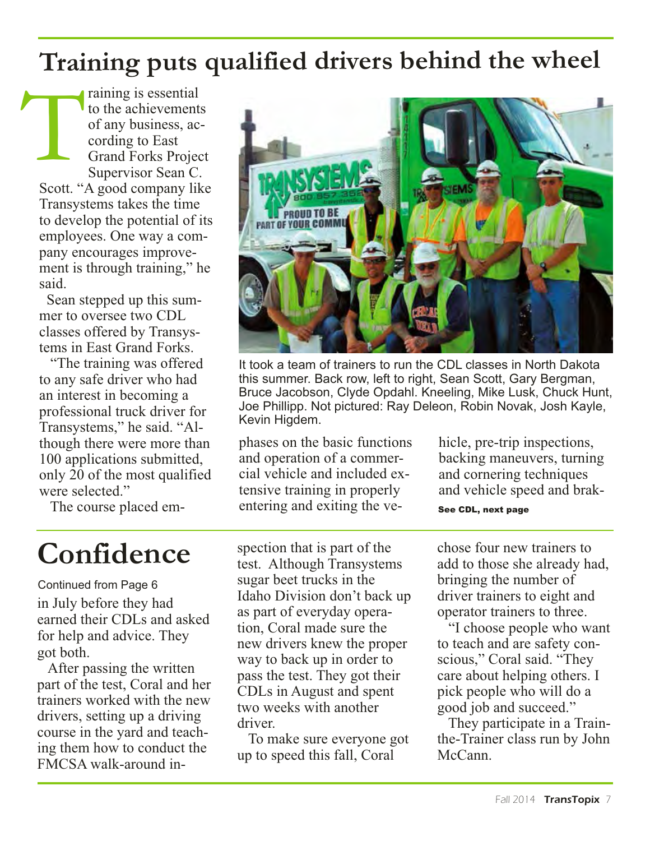# **Training puts qualified drivers behind the wheel**

raining is essential to the achievements of any business, according to East Grand Forks Project Supervisor Sean C. Scott. "A good company like Transystems takes the time to develop the potential of its employees. One way a company encourages improvement is through training," he said. T

Sean stepped up this summer to oversee two CDL classes offered by Transystems in East Grand Forks.

"The training was offered to any safe driver who had an interest in becoming a professional truck driver for Transystems," he said. "Although there were more than 100 applications submitted, only 20 of the most qualified were selected."

It took a team of trainers to run the CDL classes in North Dakota this summer. Back row, left to right, Sean Scott, Gary Bergman, Bruce Jacobson, Clyde Opdahl. Kneeling, Mike Lusk, Chuck Hunt, Joe Phillipp. Not pictured: Ray Deleon, Robin Novak, Josh Kayle, Kevin Higdem.

phases on the basic functions and operation of a commercial vehicle and included extensive training in properly entering and exiting the vehicle, pre-trip inspections, backing maneuvers, turning and cornering techniques and vehicle speed and brak-

The course placed em-

# **Confidence**

in July before they had earned their CDLs and asked for help and advice. They got both. Continued from Page 6

After passing the written part of the test, Coral and her trainers worked with the new drivers, setting up a driving course in the yard and teaching them how to conduct the FMCSA walk-around in-

spection that is part of the test. Although Transystems sugar beet trucks in the Idaho Division don't back up as part of everyday operation, Coral made sure the new drivers knew the proper way to back up in order to pass the test. They got their CDLs in August and spent two weeks with another driver.

To make sure everyone got up to speed this fall, Coral

See CDL, next page

chose four new trainers to add to those she already had, bringing the number of driver trainers to eight and operator trainers to three.

"I choose people who want to teach and are safety conscious," Coral said. "They care about helping others. I pick people who will do a good job and succeed."

They participate in a Trainthe-Trainer class run by John McCann.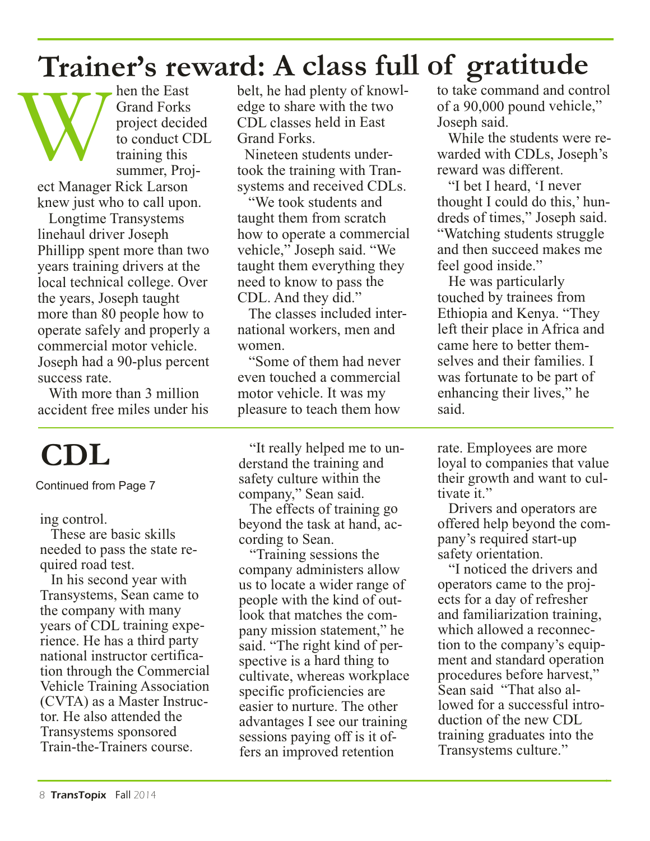# **Trainer's reward: A class full of gratitude**

hen the East Grand Forks project decided to conduct CDL training this summer, Project Manager Rick Larson Then the East belt, he had plenty of knowl-<br>
framd Forks dge to share with the two of a 90,000 pound vehicle,"<br>
project decided CDL classes held in East Joseph said.<br>
to conduct CDL Grand Forks. While the students were re-

knew just who to call upon.

Longtime Transystems linehaul driver Joseph Phillipp spent more than two years training drivers at the local technical college. Over the years, Joseph taught more than 80 people how to operate safely and properly a commercial motor vehicle. Joseph had a 90-plus percent success rate.

With more than 3 million accident free miles under his

# **CDL**

Continued from Page 7

#### ing control.

These are basic skills needed to pass the state required road test.

In his second year with Transystems, Sean came to the company with many years of CDL training experience. He has a third party national instructor certification through the Commercial Vehicle Training Association (CVTA) as a Master Instructor. He also attended the Transystems sponsored Train-the-Trainers course.

belt, he had plenty of knowledge to share with the two CDL classes held in East Grand Forks.

Nineteen students undertook the training with Transystems and received CDLs.

"We took students and taught them from scratch how to operate a commercial vehicle," Joseph said. "We taught them everything they need to know to pass the CDL. And they did."

The classes included international workers, men and women.

"Some of them had never even touched a commercial motor vehicle. It was my pleasure to teach them how

"It really helped me to understand the training and safety culture within the company," Sean said.

The effects of training go beyond the task at hand, according to Sean.

"Training sessions the company administers allow us to locate a wider range of people with the kind of outlook that matches the company mission statement," he said. "The right kind of perspective is a hard thing to cultivate, whereas workplace specific proficiencies are easier to nurture. The other advantages I see our training sessions paying off is it offers an improved retention

to take command and control of a 90,000 pound vehicle," Joseph said.

While the students were rewarded with CDLs, Joseph's reward was different.

"I bet I heard, 'I never thought I could do this,' hundreds of times," Joseph said. "Watching students struggle and then succeed makes me feel good inside."

He was particularly touched by trainees from Ethiopia and Kenya. "They left their place in Africa and came here to better themselves and their families. I was fortunate to be part of enhancing their lives," he said.

rate. Employees are more loyal to companies that value their growth and want to cultivate it."

Drivers and operators are offered help beyond the company's required start-up safety orientation.

"I noticed the drivers and operators came to the projects for a day of refresher and familiarization training, which allowed a reconnection to the company's equipment and standard operation procedures before harvest," Sean said "That also allowed for a successful introduction of the new CDL training graduates into the Transystems culture."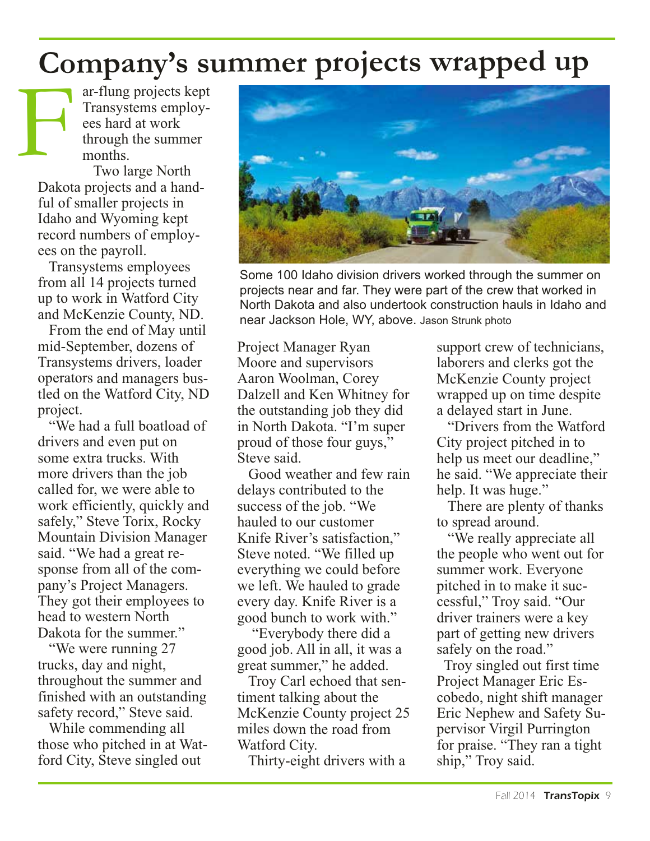# **Company's summer projects wrapped up**

ar-flung projects kept Transystems employees hard at work through the summer months.

Two large North Dakota projects and a handful of smaller projects in Idaho and Wyoming kept record numbers of employees on the payroll. F

> Transystems employees from all 14 projects turned up to work in Watford City and McKenzie County, ND.

From the end of May until mid-September, dozens of Transystems drivers, loader operators and managers bustled on the Watford City, ND project.

"We had a full boatload of drivers and even put on some extra trucks. With more drivers than the job called for, we were able to work efficiently, quickly and safely," Steve Torix, Rocky Mountain Division Manager said. "We had a great response from all of the company's Project Managers. They got their employees to head to western North Dakota for the summer."

"We were running 27 trucks, day and night, throughout the summer and finished with an outstanding safety record," Steve said.

While commending all those who pitched in at Watford City, Steve singled out



Some 100 Idaho division drivers worked through the summer on projects near and far. They were part of the crew that worked in North Dakota and also undertook construction hauls in Idaho and near Jackson Hole, WY, above. Jason Strunk photo

Project Manager Ryan Moore and supervisors Aaron Woolman, Corey Dalzell and Ken Whitney for the outstanding job they did in North Dakota. "I'm super proud of those four guys," Steve said.

Good weather and few rain delays contributed to the success of the job. "We hauled to our customer Knife River's satisfaction," Steve noted. "We filled up everything we could before we left. We hauled to grade every day. Knife River is a good bunch to work with."

"Everybody there did a good job. All in all, it was a great summer," he added.

Troy Carl echoed that sentiment talking about the McKenzie County project 25 miles down the road from Watford City.

Thirty-eight drivers with a

support crew of technicians, laborers and clerks got the McKenzie County project wrapped up on time despite a delayed start in June.

"Drivers from the Watford City project pitched in to help us meet our deadline," he said. "We appreciate their help. It was huge."

There are plenty of thanks to spread around.

"We really appreciate all the people who went out for summer work. Everyone pitched in to make it successful," Troy said. "Our driver trainers were a key part of getting new drivers safely on the road."

Troy singled out first time Project Manager Eric Escobedo, night shift manager Eric Nephew and Safety Supervisor Virgil Purrington for praise. "They ran a tight ship," Troy said.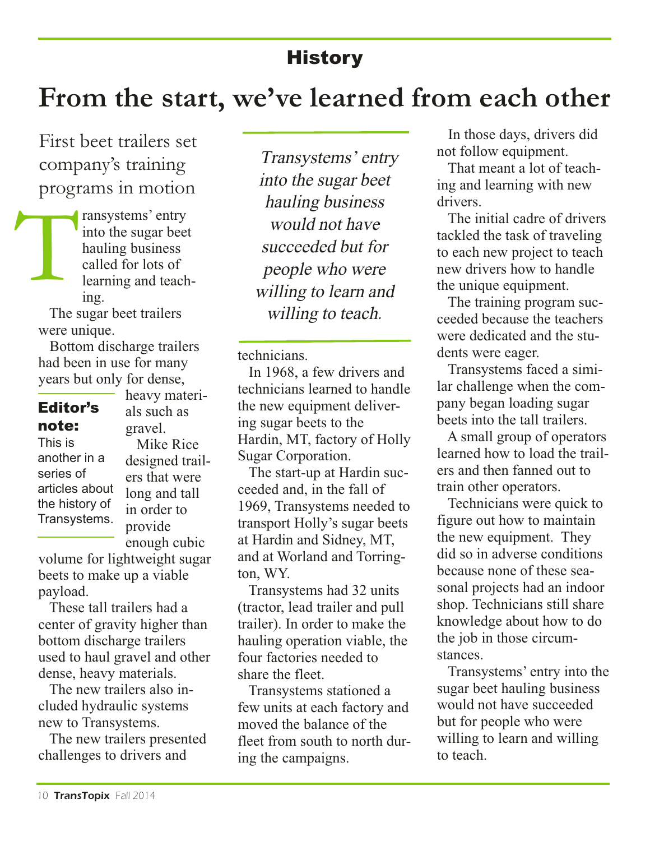### **History**

### **From the start, we've learned from each other**

First beet trailers set company's training programs in motion

ransystems' entry into the sugar beet hauling business called for lots of learning and teaching. T

> The sugar beet trailers were unique.

Bottom discharge trailers had been in use for many years but only for dense,

### Editor's note:

This is another in a series of articles about the history of Transystems.

heavy materials such as gravel. Mike Rice designed trail-

ers that were long and tall in order to provide enough cubic

volume for lightweight sugar beets to make up a viable payload.

These tall trailers had a center of gravity higher than bottom discharge trailers used to haul gravel and other dense, heavy materials.

The new trailers also included hydraulic systems new to Transystems.

The new trailers presented challenges to drivers and

Transystems' entry into the sugar beet hauling business would not have succeeded but for people who were willing to learn and willing to teach.

technicians.

In 1968, a few drivers and technicians learned to handle the new equipment delivering sugar beets to the Hardin, MT, factory of Holly Sugar Corporation.

The start-up at Hardin succeeded and, in the fall of 1969, Transystems needed to transport Holly's sugar beets at Hardin and Sidney, MT, and at Worland and Torrington, WY.

Transystems had 32 units (tractor, lead trailer and pull trailer). In order to make the hauling operation viable, the four factories needed to share the fleet.

Transystems stationed a few units at each factory and moved the balance of the fleet from south to north during the campaigns.

In those days, drivers did not follow equipment.

That meant a lot of teaching and learning with new drivers.

The initial cadre of drivers tackled the task of traveling to each new project to teach new drivers how to handle the unique equipment.

The training program succeeded because the teachers were dedicated and the students were eager.

Transystems faced a similar challenge when the company began loading sugar beets into the tall trailers.

A small group of operators learned how to load the trailers and then fanned out to train other operators.

Technicians were quick to figure out how to maintain the new equipment. They did so in adverse conditions because none of these seasonal projects had an indoor shop. Technicians still share knowledge about how to do the job in those circumstances.

Transystems' entry into the sugar beet hauling business would not have succeeded but for people who were willing to learn and willing to teach.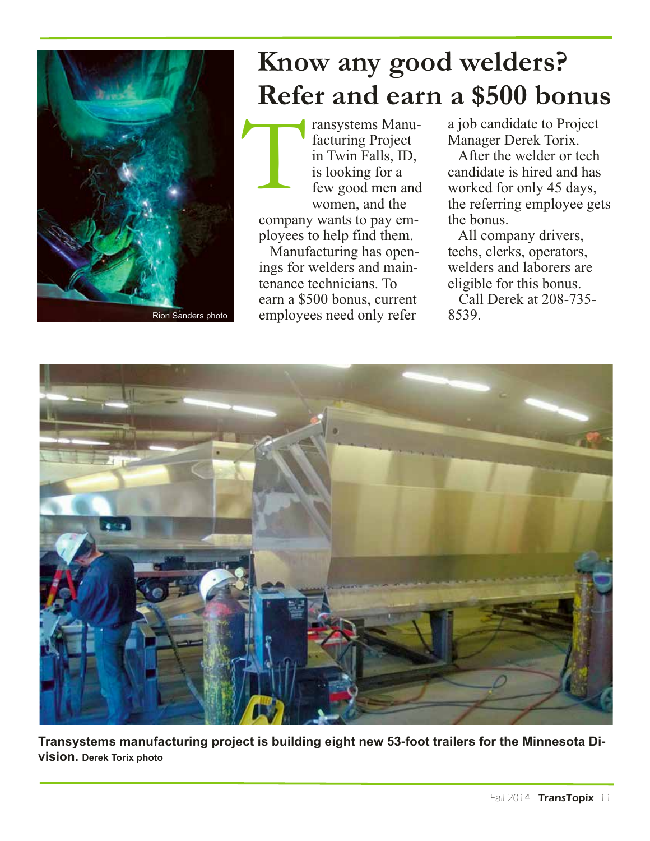

# **Know any good welders? Refer and earn a \$500 bonus**

ransystems Manufacturing Project in Twin Falls, ID, is looking for a few good men and women, and the company wants to pay employees to help find them. Manufacturing has open-T

ings for welders and maintenance technicians. To earn a \$500 bonus, current employees need only refer

a job candidate to Project Manager Derek Torix.

After the welder or tech candidate is hired and has worked for only 45 days, the referring employee gets the bonus.

All company drivers, techs, clerks, operators, welders and laborers are eligible for this bonus.

Call Derek at 208-735- 8539.



**Transystems manufacturing project is building eight new 53-foot trailers for the Minnesota Division. Derek Torix photo**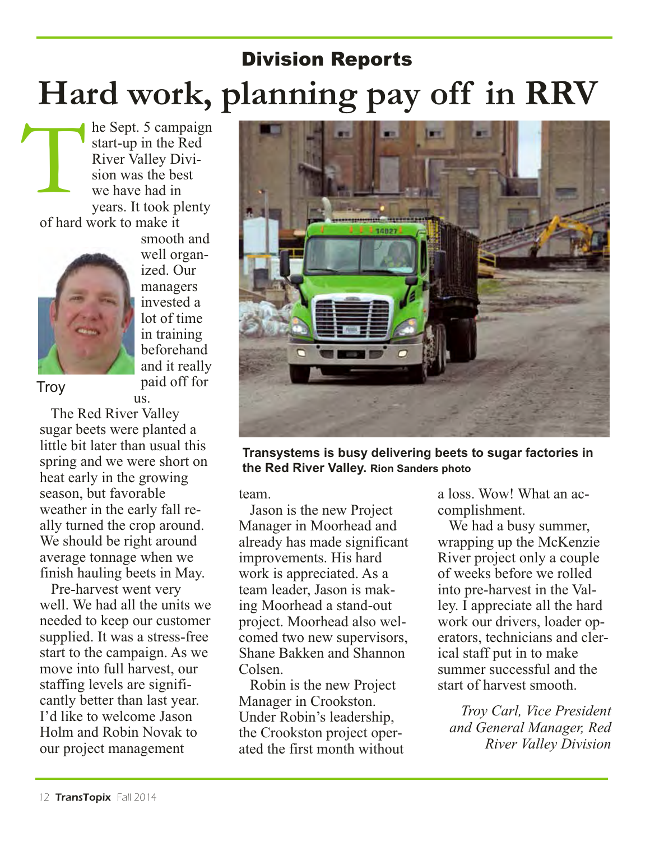# Division Reports **Hard work, planning pay off in RRV**

he Sept. 5 campaign start-up in the Red River Valley Division was the best we have had in years. It took plenty of hard work to make it



smooth and well organized. Our managers invested a lot of time in training beforehand and it really paid off for us.

**Troy** 

The Red River Valley sugar beets were planted a little bit later than usual this spring and we were short on heat early in the growing season, but favorable weather in the early fall really turned the crop around. We should be right around average tonnage when we finish hauling beets in May.

Pre-harvest went very well. We had all the units we needed to keep our customer supplied. It was a stress-free start to the campaign. As we move into full harvest, our staffing levels are significantly better than last year. I'd like to welcome Jason Holm and Robin Novak to our project management



**Transystems is busy delivering beets to sugar factories in the Red River Valley. Rion Sanders photo**

team.

Jason is the new Project Manager in Moorhead and already has made significant improvements. His hard work is appreciated. As a team leader, Jason is making Moorhead a stand-out project. Moorhead also welcomed two new supervisors, Shane Bakken and Shannon Colsen.

Robin is the new Project Manager in Crookston. Under Robin's leadership, the Crookston project operated the first month without a loss. Wow! What an accomplishment.

We had a busy summer, wrapping up the McKenzie River project only a couple of weeks before we rolled into pre-harvest in the Valley. I appreciate all the hard work our drivers, loader operators, technicians and clerical staff put in to make summer successful and the start of harvest smooth.

*Troy Carl, Vice President and General Manager, Red River Valley Division*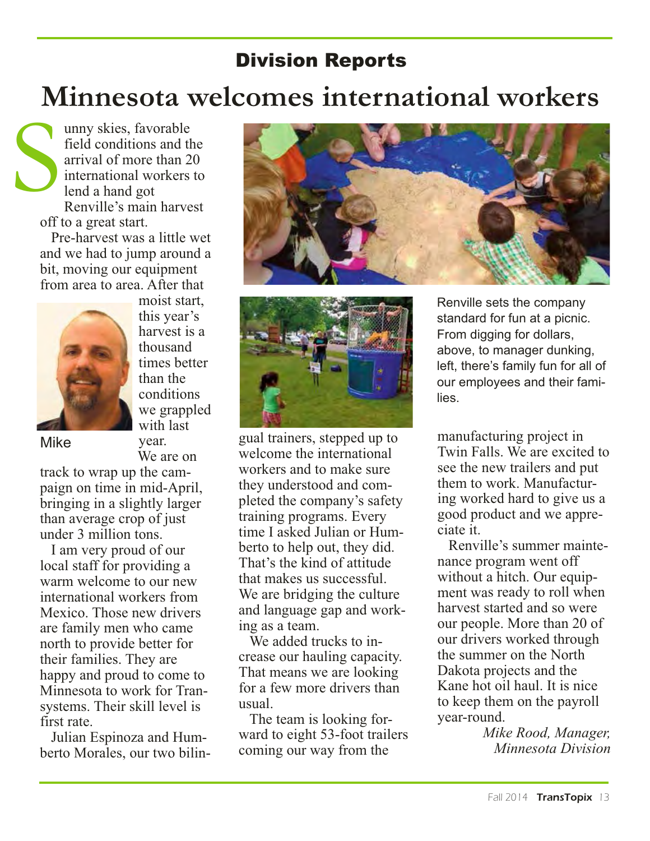### Division Reports

# **Minnesota welcomes international workers**

unny skies, favorable field conditions and the arrival of more than 20 international workers to lend a hand got Renville's main harvest off to a great start. S

Pre-harvest was a little wet and we had to jump around a bit, moving our equipment from area to area. After that



moist start, this year's harvest is a thousand times better than the conditions we grappled with last year.

We are on

Mike

track to wrap up the campaign on time in mid-April, bringing in a slightly larger than average crop of just under 3 million tons.

I am very proud of our local staff for providing a warm welcome to our new international workers from Mexico. Those new drivers are family men who came north to provide better for their families. They are happy and proud to come to Minnesota to work for Transystems. Their skill level is first rate.

Julian Espinoza and Humberto Morales, our two bilin-





gual trainers, stepped up to welcome the international workers and to make sure they understood and completed the company's safety training programs. Every time I asked Julian or Humberto to help out, they did. That's the kind of attitude that makes us successful. We are bridging the culture and language gap and working as a team.

We added trucks to increase our hauling capacity. That means we are looking for a few more drivers than usual.

The team is looking forward to eight 53-foot trailers coming our way from the

Renville sets the company standard for fun at a picnic. From digging for dollars, above, to manager dunking, left, there's family fun for all of our employees and their families.

manufacturing project in Twin Falls. We are excited to see the new trailers and put them to work. Manufacturing worked hard to give us a good product and we appreciate it.

Renville's summer maintenance program went off without a hitch. Our equipment was ready to roll when harvest started and so were our people. More than 20 of our drivers worked through the summer on the North Dakota projects and the Kane hot oil haul. It is nice to keep them on the payroll year-round.

*Mike Rood, Manager, Minnesota Division*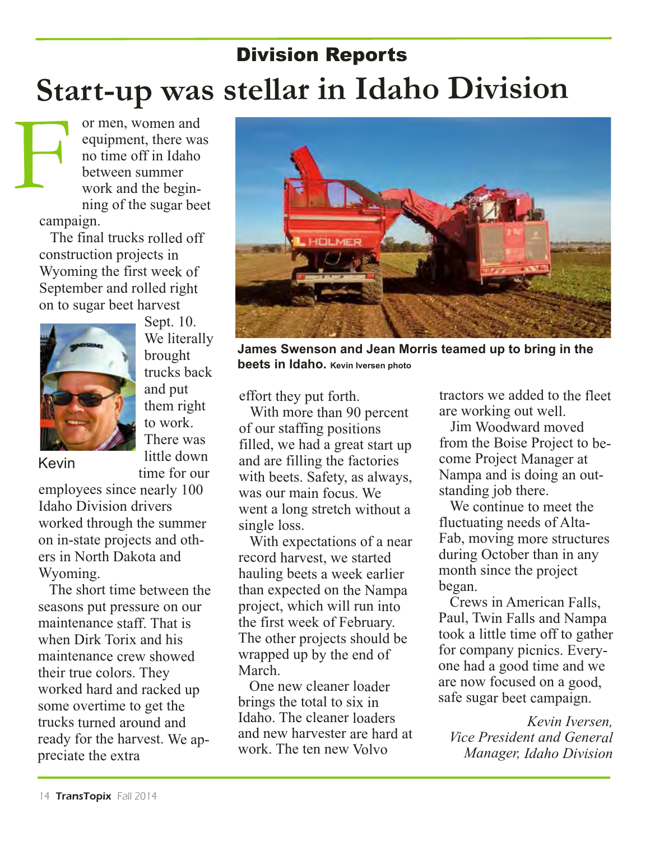# Division Reports **Start-up was stellar in Idaho Division**

or men, women and equipment, there was no time off in Idaho between summer work and the beginning of the sugar beet campaign. F

The final trucks rolled off construction projects in Wyoming the first week of September and rolled right on to sugar beet harvest



Sept. 10. We literally brought trucks back and put them right to work. There was little down time for our

Kevin

employees since nearly 100 Idaho Division drivers worked through the summer on in-state projects and others in North Dakota and Wyoming.

The short time between the seasons put pressure on our maintenance staff. That is when Dirk Torix and his maintenance crew showed their true colors. They worked hard and racked up some overtime to get the trucks turned around and ready for the harvest. We appreciate the extra



**James Swenson and Jean Morris teamed up to bring in the beets in Idaho. Kevin Iversen photo**

effort they put forth.

With more than 90 percent of our staffing positions filled, we had a great start up and are filling the factories with beets. Safety, as always, was our main focus. We went a long stretch without a single loss.

With expectations of a near record harvest, we started hauling beets a week earlier than expected on the Nampa project, which will run into the first week of February. The other projects should be wrapped up by the end of March.

One new cleaner loader brings the total to six in Idaho. The cleaner loaders and new harvester are hard at work. The ten new Volvo

tractors we added to the fleet are working out well.

Jim Woodward moved from the Boise Project to become Project Manager at Nampa and is doing an outstanding job there.

We continue to meet the fluctuating needs of Alta-Fab, moving more structures during October than in any month since the project began.

Crews in American Falls, Paul, Twin Falls and Nampa took a little time off to gather for company picnics. Everyone had a good time and we are now focused on a good, safe sugar beet campaign.

*Kevin Iversen, Vice President and General Manager, Idaho Division*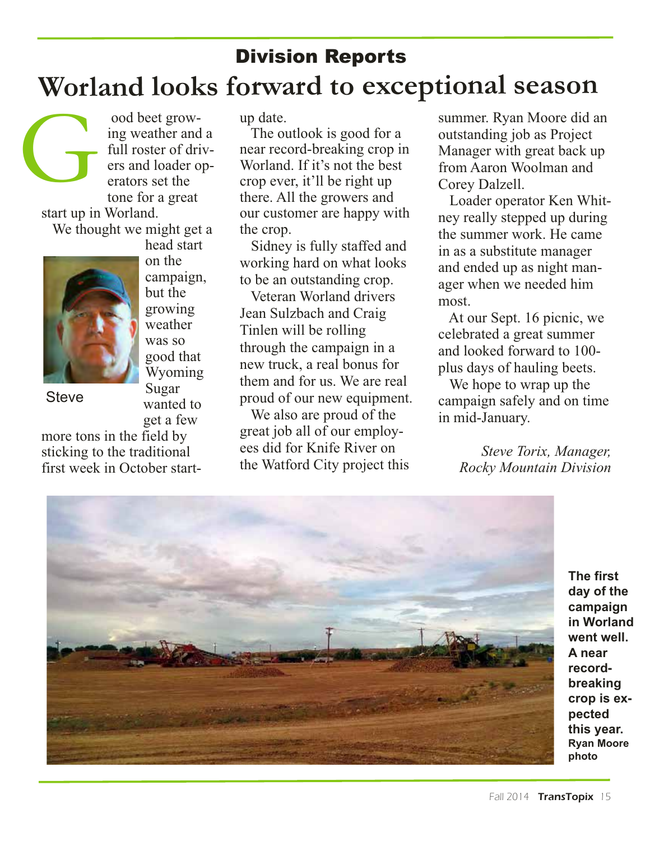# Division Reports **Worland looks forward to exceptional season**

ood beet growing weather and a full roster of drivers and loader operators set the tone for a great start up in Worland. We thought we might get a head start G



**Steve** 

growing weather was so good that Wyoming Sugar wanted to get a few

on the campaign, but the

more tons in the field by sticking to the traditional first week in October startup date.

The outlook is good for a near record-breaking crop in Worland. If it's not the best crop ever, it'll be right up there. All the growers and our customer are happy with the crop.

Sidney is fully staffed and working hard on what looks to be an outstanding crop.

Veteran Worland drivers Jean Sulzbach and Craig Tinlen will be rolling through the campaign in a new truck, a real bonus for them and for us. We are real proud of our new equipment.

We also are proud of the great job all of our employees did for Knife River on the Watford City project this summer. Ryan Moore did an outstanding job as Project Manager with great back up from Aaron Woolman and Corey Dalzell.

Loader operator Ken Whitney really stepped up during the summer work. He came in as a substitute manager and ended up as night manager when we needed him most.

At our Sept. 16 picnic, we celebrated a great summer and looked forward to 100 plus days of hauling beets.

We hope to wrap up the campaign safely and on time in mid-January.

> *Steve Torix, Manager, Rocky Mountain Division*



**The first day of the campaign in Worland went well. A near recordbreaking crop is expected this year. Ryan Moore photo**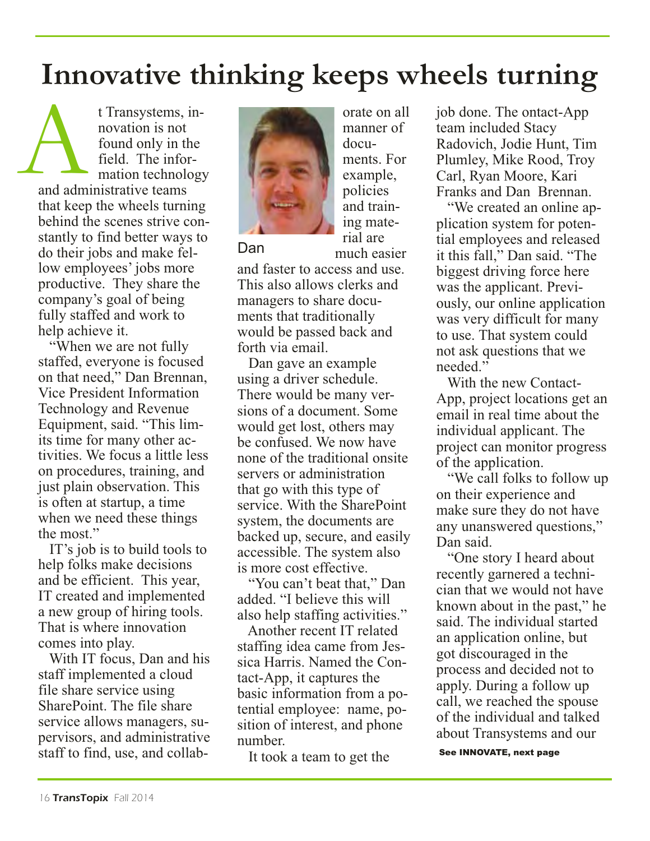# **Innovative thinking keeps wheels turning**

docu-

much easier

t Transystems, innovation is notfound only in the field. The information technology and administrative teams that keep the wheels turning behind the scenes strive constantly to find better ways to do their jobs and make fellow employees' jobs more productive. They share the company's goal of being fully staffed and work to help achieve it. A<br>and adm

"When we are not fully staffed, everyone is focused on that need," Dan Brennan, Vice President Information Technology and Revenue Equipment, said. "This limits time for many other activities. We focus a little less on procedures, training, and just plain observation. This is often at startup, a time when we need these things the most."

IT's job is to build tools to help folks make decisions and be efficient. This year, IT created and implemented a new group of hiring tools. That is where innovation comes into play.

With IT focus, Dan and his staff implemented a cloud file share service using SharePoint. The file share service allows managers, supervisors, and administrative staff to find, use, and collab-



Dan

and faster to access and use. This also allows clerks and managers to share documents that traditionally would be passed back and forth via email.

Dan gave an example using a driver schedule. There would be many versions of a document. Some would get lost, others may be confused. We now have none of the traditional onsite servers or administration that go with this type of service. With the SharePoint system, the documents are backed up, secure, and easily accessible. The system also is more cost effective.

"You can't beat that," Dan added. "I believe this will also help staffing activities."

Another recent IT related staffing idea came from Jessica Harris. Named the Contact-App, it captures the basic information from a potential employee: name, position of interest, and phone number.

It took a team to get the

orate on all manner of ments. For example, policies and training material are

job done. The ontact-App team included Stacy Radovich, Jodie Hunt, Tim Plumley, Mike Rood, Troy Carl, Ryan Moore, Kari Franks and Dan Brennan.

"We created an online application system for potential employees and released it this fall," Dan said. "The biggest driving force here was the applicant. Previously, our online application was very difficult for many to use. That system could not ask questions that we needed."

With the new Contact-App, project locations get an email in real time about the individual applicant. The project can monitor progress of the application.

"We call folks to follow up on their experience and make sure they do not have any unanswered questions," Dan said.

"One story I heard about recently garnered a technician that we would not have known about in the past," he said. The individual started an application online, but got discouraged in the process and decided not to apply. During a follow up call, we reached the spouse of the individual and talked about Transystems and our

See INNOVATE, next page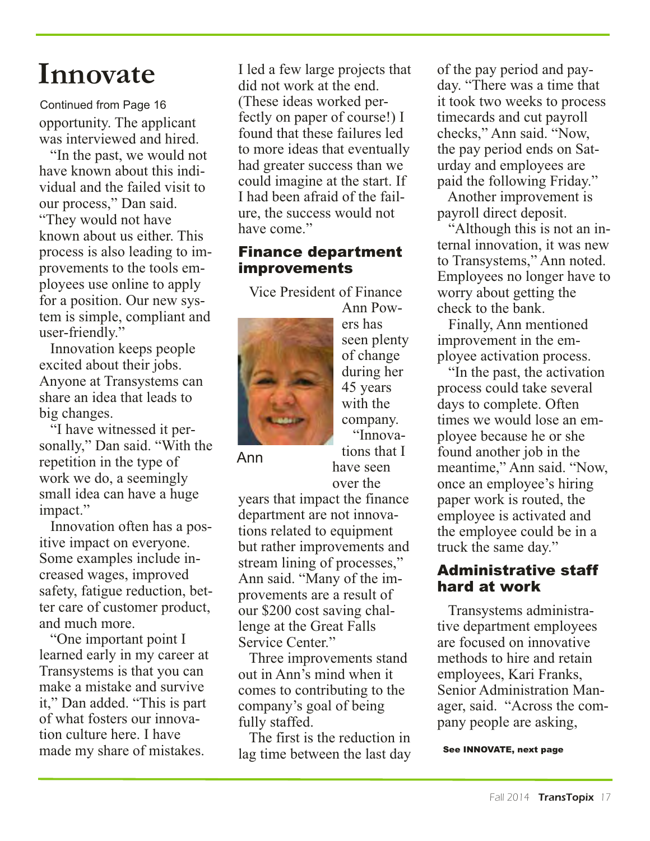# **Innovate**

opportunity. The applicant was interviewed and hired. Continued from Page 16

"In the past, we would not have known about this individual and the failed visit to our process," Dan said. "They would not have known about us either. This process is also leading to improvements to the tools employees use online to apply for a position. Our new system is simple, compliant and user-friendly."

Innovation keeps people excited about their jobs. Anyone at Transystems can share an idea that leads to big changes.

"I have witnessed it personally," Dan said. "With the repetition in the type of work we do, a seemingly small idea can have a huge impact."

Innovation often has a positive impact on everyone. Some examples include increased wages, improved safety, fatigue reduction, better care of customer product, and much more.

"One important point I learned early in my career at Transystems is that you can make a mistake and survive it," Dan added. "This is part of what fosters our innovation culture here. I have made my share of mistakes.

I led a few large projects that did not work at the end. (These ideas worked perfectly on paper of course!) I found that these failures led to more ideas that eventually had greater success than we could imagine at the start. If I had been afraid of the failure, the success would not have come."

#### Finance department improvements

Vice President of Finance



Ann Powers has seen plenty of change during her 45 years with the company. "Innovations that I have seen

Ann

over the years that impact the finance department are not innovations related to equipment but rather improvements and stream lining of processes," Ann said. "Many of the improvements are a result of our \$200 cost saving challenge at the Great Falls Service Center."

Three improvements stand out in Ann's mind when it comes to contributing to the company's goal of being fully staffed.

The first is the reduction in lag time between the last day of the pay period and payday. "There was a time that it took two weeks to process timecards and cut payroll checks," Ann said. "Now, the pay period ends on Saturday and employees are paid the following Friday."

Another improvement is payroll direct deposit.

"Although this is not an internal innovation, it was new to Transystems," Ann noted. Employees no longer have to worry about getting the check to the bank.

Finally, Ann mentioned improvement in the employee activation process.

"In the past, the activation process could take several days to complete. Often times we would lose an employee because he or she found another job in the meantime," Ann said. "Now, once an employee's hiring paper work is routed, the employee is activated and the employee could be in a truck the same day."

#### Administrative staff hard at work

Transystems administrative department employees are focused on innovative methods to hire and retain employees, Kari Franks, Senior Administration Manager, said. "Across the company people are asking,

See INNOVATE, next page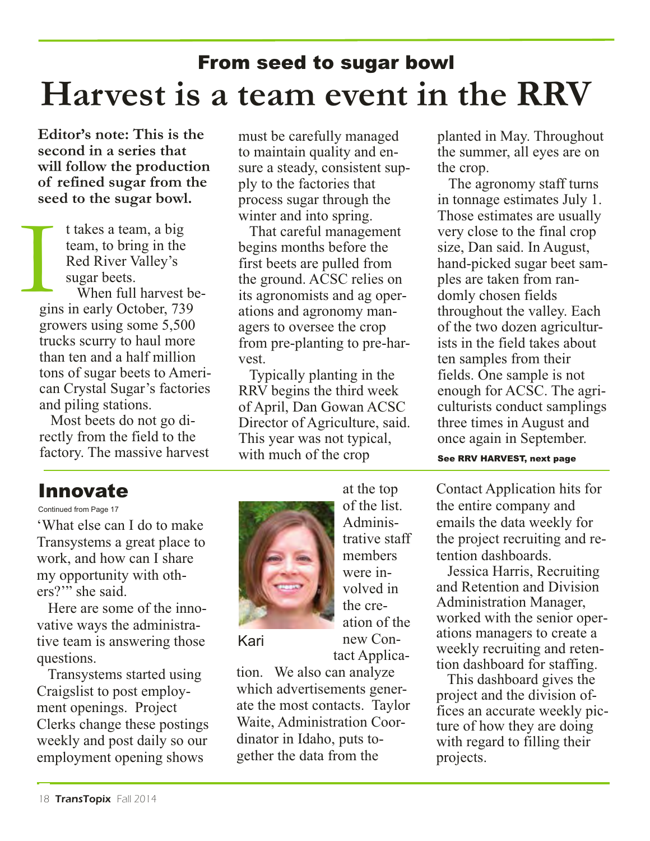# From seed to sugar bowl **Harvest is a team event in the RRV**

**Editor's note: This is the second in a series that will follow the production of refined sugar from the seed to the sugar bowl.**

> t takes a team, a big team, to bring in the Red River Valley's sugar beets.

When full harvest begins in early October, 739 growers using some 5,500 trucks scurry to haul more than ten and a half million tons of sugar beets to American Crystal Sugar's factories and piling stations. **I** 

Most beets do not go directly from the field to the factory. The massive harvest

must be carefully managed to maintain quality and ensure a steady, consistent supply to the factories that process sugar through the winter and into spring.

That careful management begins months before the first beets are pulled from the ground. ACSC relies on its agronomists and ag operations and agronomy managers to oversee the crop from pre-planting to pre-harvest.

Typically planting in the RRV begins the third week of April, Dan Gowan ACSC Director of Agriculture, said. This year was not typical, with much of the crop

planted in May. Throughout the summer, all eyes are on the crop.

The agronomy staff turns in tonnage estimates July 1. Those estimates are usually very close to the final crop size, Dan said. In August, hand-picked sugar beet samples are taken from randomly chosen fields throughout the valley. Each of the two dozen agriculturists in the field takes about ten samples from their fields. One sample is not enough for ACSC. The agriculturists conduct samplings three times in August and once again in September.

See RRV HARVEST, next page

#### Innovate

#### Continued from Page 17

'What else can I do to make Transystems a great place to work, and how can I share my opportunity with others?'" she said.

Here are some of the innovative ways the administrative team is answering those questions.

Transystems started using Craigslist to post employment openings. Project Clerks change these postings weekly and post daily so our employment opening shows



at the top of the list. Administrative staff members were involved in the creation of the new Contact Applica-

Kari

tion. We also can analyze which advertisements generate the most contacts. Taylor Waite, Administration Coordinator in Idaho, puts together the data from the

Contact Application hits for the entire company and emails the data weekly for the project recruiting and retention dashboards.

Jessica Harris, Recruiting and Retention and Division Administration Manager, worked with the senior operations managers to create a weekly recruiting and retention dashboard for staffing.

This dashboard gives the project and the division offices an accurate weekly picture of how they are doing with regard to filling their projects.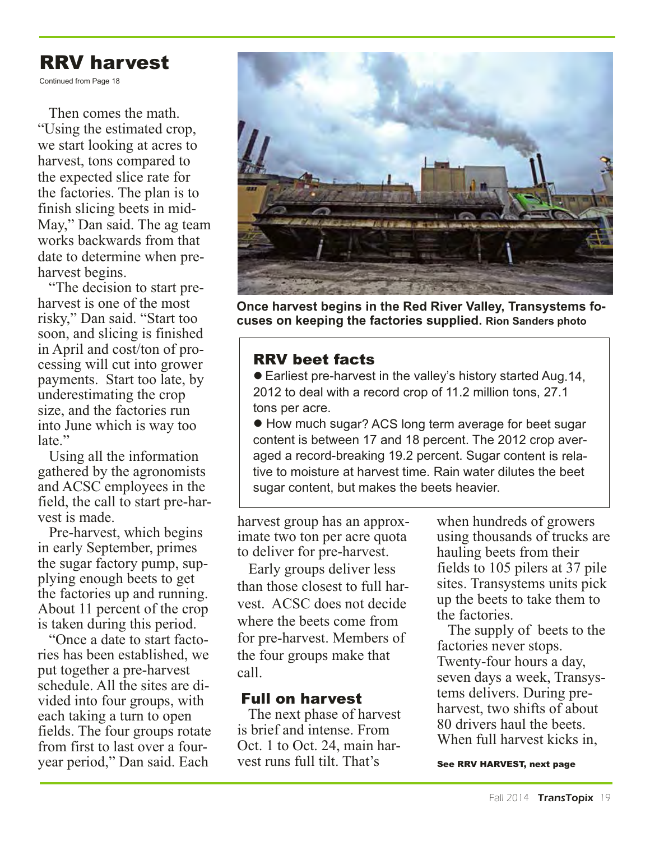### RRV harvest

Continued from Page 18

Then comes the math. "Using the estimated crop, we start looking at acres to harvest, tons compared to the expected slice rate for the factories. The plan is to finish slicing beets in mid-May," Dan said. The ag team works backwards from that date to determine when preharvest begins.

"The decision to start preharvest is one of the most risky," Dan said. "Start too soon, and slicing is finished in April and cost/ton of processing will cut into grower payments. Start too late, by underestimating the crop size, and the factories run into June which is way too late."

Using all the information gathered by the agronomists and ACSC employees in the field, the call to start pre-harvest is made.

Pre-harvest, which begins in early September, primes the sugar factory pump, supplying enough beets to get the factories up and running. About 11 percent of the crop is taken during this period.

"Once a date to start factories has been established, we put together a pre-harvest schedule. All the sites are divided into four groups, with each taking a turn to open fields. The four groups rotate from first to last over a fouryear period," Dan said. Each



**Once harvest begins in the Red River Valley, Transystems focuses on keeping the factories supplied. Rion Sanders photo** 

#### RRV beet facts

● Earliest pre-harvest in the valley's history started Aug.14, 2012 to deal with a record crop of 11.2 million tons, 27.1 tons per acre.

● How much sugar? ACS long term average for beet sugar content is between 17 and 18 percent. The 2012 crop averaged a record-breaking 19.2 percent. Sugar content is relative to moisture at harvest time. Rain water dilutes the beet sugar content, but makes the beets heavier.

harvest group has an approximate two ton per acre quota to deliver for pre-harvest.

Early groups deliver less than those closest to full harvest. ACSC does not decide where the beets come from for pre-harvest. Members of the four groups make that call.

#### Full on harvest

The next phase of harvest is brief and intense. From Oct. 1 to Oct. 24, main harvest runs full tilt. That's

when hundreds of growers using thousands of trucks are hauling beets from their fields to 105 pilers at 37 pile sites. Transystems units pick up the beets to take them to the factories.

The supply of beets to the factories never stops. Twenty-four hours a day, seven days a week, Transystems delivers. During preharvest, two shifts of about 80 drivers haul the beets. When full harvest kicks in,

See RRV HARVEST, next page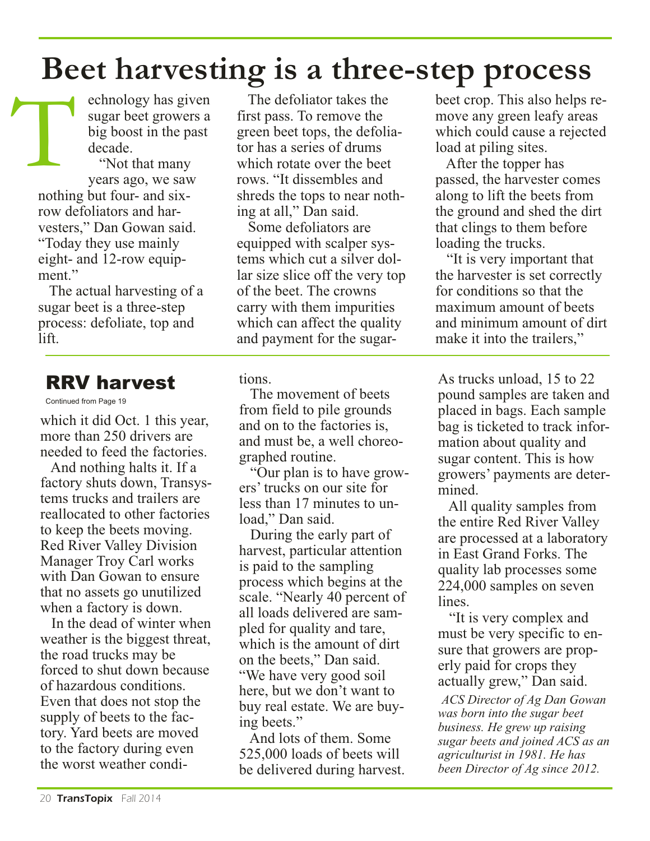# **Beet harvesting is a three-step process**

echnology has given sugar beet growers a big boost in the past decade.

"Not that many years ago, we saw nothing but four- and sixrow defoliators and harvesters," Dan Gowan said. "Today they use mainly eight- and 12-row equipment." T

The actual harvesting of a sugar beet is a three-step process: defoliate, top and lift.

### RRV harvest

Continued from Page 19

which it did Oct. 1 this year, more than 250 drivers are needed to feed the factories.

And nothing halts it. If a factory shuts down, Transystems trucks and trailers are reallocated to other factories to keep the beets moving. Red River Valley Division Manager Troy Carl works with Dan Gowan to ensure that no assets go unutilized when a factory is down.

In the dead of winter when weather is the biggest threat, the road trucks may be forced to shut down because of hazardous conditions. Even that does not stop the supply of beets to the factory. Yard beets are moved to the factory during even the worst weather condi-

The defoliator takes the first pass. To remove the green beet tops, the defoliator has a series of drums which rotate over the beet rows. "It dissembles and shreds the tops to near nothing at all," Dan said.

Some defoliators are equipped with scalper systems which cut a silver dollar size slice off the very top of the beet. The crowns carry with them impurities which can affect the quality and payment for the sugar-

tions.

The movement of beets from field to pile grounds and on to the factories is, and must be, a well choreographed routine.

"Our plan is to have growers' trucks on our site for less than 17 minutes to unload," Dan said.

During the early part of harvest, particular attention is paid to the sampling process which begins at the scale. "Nearly 40 percent of all loads delivered are sampled for quality and tare, which is the amount of dirt on the beets," Dan said. "We have very good soil here, but we don't want to buy real estate. We are buying beets."

And lots of them. Some 525,000 loads of beets will be delivered during harvest. beet crop. This also helps remove any green leafy areas which could cause a rejected load at piling sites.

After the topper has passed, the harvester comes along to lift the beets from the ground and shed the dirt that clings to them before loading the trucks.

"It is very important that the harvester is set correctly for conditions so that the maximum amount of beets and minimum amount of dirt make it into the trailers,"

As trucks unload, 15 to 22 pound samples are taken and placed in bags. Each sample bag is ticketed to track information about quality and sugar content. This is how growers' payments are determined.

All quality samples from the entire Red River Valley are processed at a laboratory in East Grand Forks. The quality lab processes some 224,000 samples on seven lines.

"It is very complex and must be very specific to ensure that growers are properly paid for crops they actually grew," Dan said.

*ACS Director of Ag Dan Gowan was born into the sugar beet business. He grew up raising sugar beets and joined ACS as an agriculturist in 1981. He has been Director of Ag since 2012.*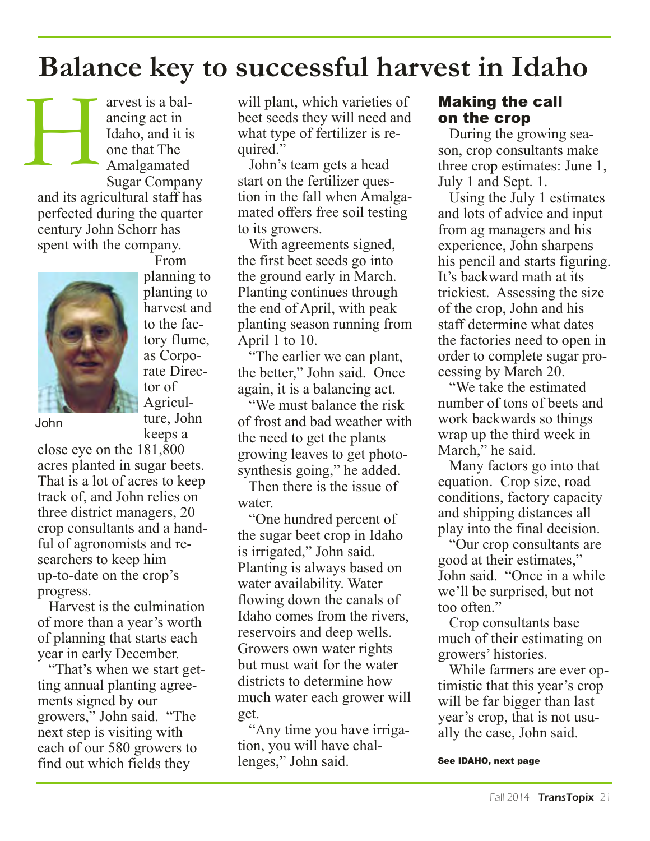# **Balance key to successful harvest in Idaho**

arvest is a balancing act in Idaho, and it is one that The Amalgamated Sugar Company and its agricultural staff has perfected during the quarter century John Schorr has spent with the company. H



From planning to planting to harvest and to the factory flume, as Corporate Director of Agriculture, John keeps a

John

close eye on the 181,800 acres planted in sugar beets. That is a lot of acres to keep track of, and John relies on three district managers, 20 crop consultants and a handful of agronomists and researchers to keep him up-to-date on the crop's progress.

Harvest is the culmination of more than a year's worth of planning that starts each year in early December.

"That's when we start getting annual planting agreements signed by our growers," John said. "The next step is visiting with each of our 580 growers to find out which fields they

will plant, which varieties of beet seeds they will need and what type of fertilizer is required."

John's team gets a head start on the fertilizer question in the fall when Amalgamated offers free soil testing to its growers.

With agreements signed, the first beet seeds go into the ground early in March. Planting continues through the end of April, with peak planting season running from April 1 to 10.

"The earlier we can plant, the better," John said. Once again, it is a balancing act.

"We must balance the risk of frost and bad weather with the need to get the plants growing leaves to get photosynthesis going," he added.

Then there is the issue of water.

"One hundred percent of the sugar beet crop in Idaho is irrigated," John said. Planting is always based on water availability. Water flowing down the canals of Idaho comes from the rivers, reservoirs and deep wells. Growers own water rights but must wait for the water districts to determine how much water each grower will get.

"Any time you have irrigation, you will have challenges," John said.

#### Making the call on the crop

During the growing season, crop consultants make three crop estimates: June 1, July 1 and Sept. 1.

Using the July 1 estimates and lots of advice and input from ag managers and his experience, John sharpens his pencil and starts figuring. It's backward math at its trickiest. Assessing the size of the crop, John and his staff determine what dates the factories need to open in order to complete sugar processing by March 20.

"We take the estimated number of tons of beets and work backwards so things wrap up the third week in March," he said.

Many factors go into that equation. Crop size, road conditions, factory capacity and shipping distances all play into the final decision.

"Our crop consultants are good at their estimates," John said. "Once in a while we'll be surprised, but not too often."

Crop consultants base much of their estimating on growers' histories.

While farmers are ever optimistic that this year's crop will be far bigger than last year's crop, that is not usually the case, John said.

#### See IDAHO, next page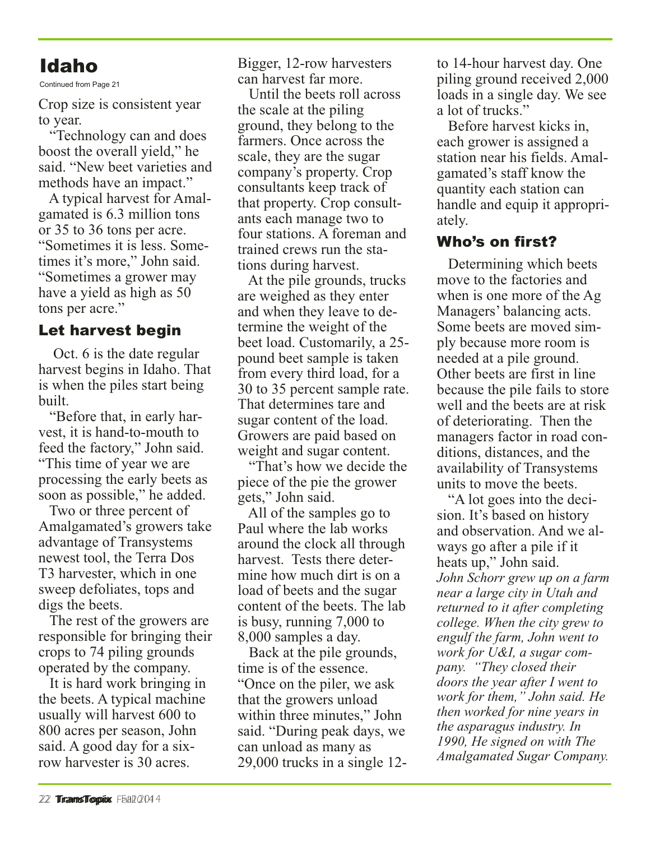### Idaho

Continued from Page 21

Crop size is consistent year to year.

"Technology can and does boost the overall yield," he said. "New beet varieties and methods have an impact."

A typical harvest for Amalgamated is 6.3 million tons or 35 to 36 tons per acre. "Sometimes it is less. Sometimes it's more," John said. "Sometimes a grower may have a yield as high as 50 tons per acre."

#### Let harvest begin

Oct. 6 is the date regular harvest begins in Idaho. That is when the piles start being built.

"Before that, in early harvest, it is hand-to-mouth to feed the factory," John said. "This time of year we are processing the early beets as soon as possible," he added.

Two or three percent of Amalgamated's growers take advantage of Transystems newest tool, the Terra Dos T3 harvester, which in one sweep defoliates, tops and digs the beets.

The rest of the growers are responsible for bringing their crops to 74 piling grounds operated by the company.

It is hard work bringing in the beets. A typical machine usually will harvest 600 to 800 acres per season, John said. A good day for a sixrow harvester is 30 acres.

Bigger, 12-row harvesters can harvest far more.

Until the beets roll across the scale at the piling ground, they belong to the farmers. Once across the scale, they are the sugar company's property. Crop consultants keep track of that property. Crop consultants each manage two to four stations. A foreman and trained crews run the stations during harvest.

At the pile grounds, trucks are weighed as they enter and when they leave to determine the weight of the beet load. Customarily, a 25 pound beet sample is taken from every third load, for a 30 to 35 percent sample rate. That determines tare and sugar content of the load. Growers are paid based on weight and sugar content.

"That's how we decide the piece of the pie the grower gets," John said.

All of the samples go to Paul where the lab works around the clock all through harvest. Tests there determine how much dirt is on a load of beets and the sugar content of the beets. The lab is busy, running 7,000 to 8,000 samples a day.

Back at the pile grounds, time is of the essence. "Once on the piler, we ask that the growers unload within three minutes," John said. "During peak days, we can unload as many as 29,000 trucks in a single 12to 14-hour harvest day. One piling ground received 2,000 loads in a single day. We see a lot of trucks."

Before harvest kicks in, each grower is assigned a station near his fields. Amalgamated's staff know the quantity each station can handle and equip it appropriately.

#### Who's on first?

Determining which beets move to the factories and when is one more of the Ag Managers' balancing acts. Some beets are moved simply because more room is needed at a pile ground. Other beets are first in line because the pile fails to store well and the beets are at risk of deteriorating. Then the managers factor in road conditions, distances, and the availability of Transystems units to move the beets.

"A lot goes into the decision. It's based on history and observation. And we always go after a pile if it heats up," John said. *John Schorr grew up on a farm near a large city in Utah and returned to it after completing college. When the city grew to engulf the farm, John went to work for U&I, a sugar company. "They closed their doors the year after I went to work for them," John said. He then worked for nine years in the asparagus industry. In 1990, He signed on with The Amalgamated Sugar Company.*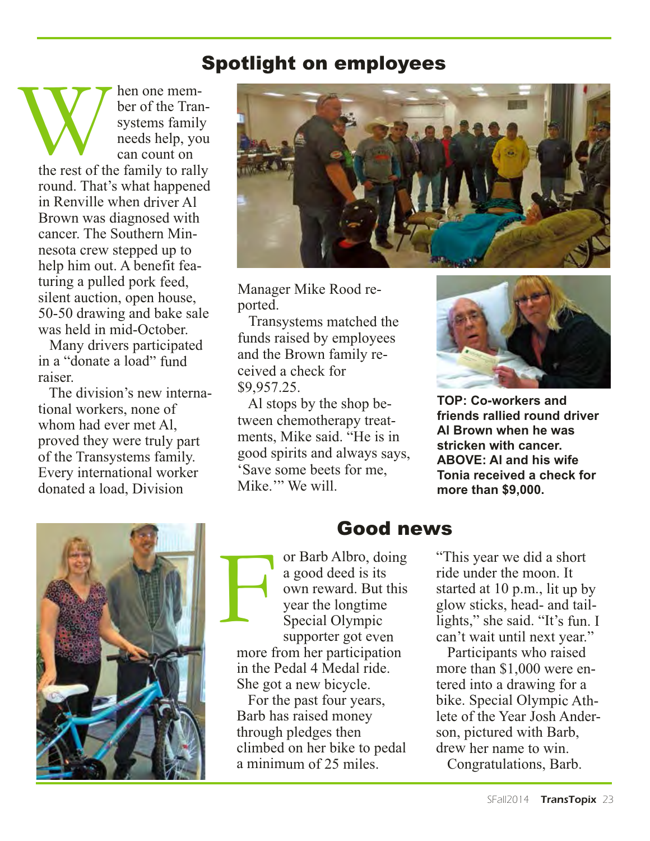### Spotlight on employees

hen one member of the Transystems family needs help, you can count on the rest of the family to rally round. That's what happened in Renville when driver Al Brown was diagnosed with cancer. The Southern Minnesota crew stepped up to help him out. A benefit featuring a pulled pork feed, silent auction, open house, 50-50 drawing and bake sale was held in mid-October. the rest of the

Many drivers participated in a "donate a load" fund raiser.

The division's new international workers, none of whom had ever met Al, proved they were truly part of the Transystems family. Every international worker donated a load, Division



Manager Mike Rood reported.

Transystems matched the funds raised by employees and the Brown family received a check for \$9,957.25.

Al stops by the shop between chemotherapy treatments, Mike said. "He is in good spirits and always says, 'Save some beets for me, Mike." We will.



**TOP: Co-workers and friends rallied round driver Al Brown when he was stricken with cancer. ABOVE: Al and his wife Tonia received a check for more than \$9,000.** 



### Good news

or Barb Albro, doing a good deed is its own reward. But this year the longtime Special Olympic supporter got even more from her participation in the Pedal 4 Medal ride. She got a new bicycle. F

For the past four years, Barb has raised money through pledges then climbed on her bike to pedal a minimum of 25 miles.

"This year we did a short ride under the moon. It started at 10 p.m., lit up by glow sticks, head- and taillights," she said. "It's fun. I can't wait until next year."

Participants who raised more than \$1,000 were entered into a drawing for a bike. Special Olympic Athlete of the Year Josh Anderson, pictured with Barb, drew her name to win.

Congratulations, Barb.